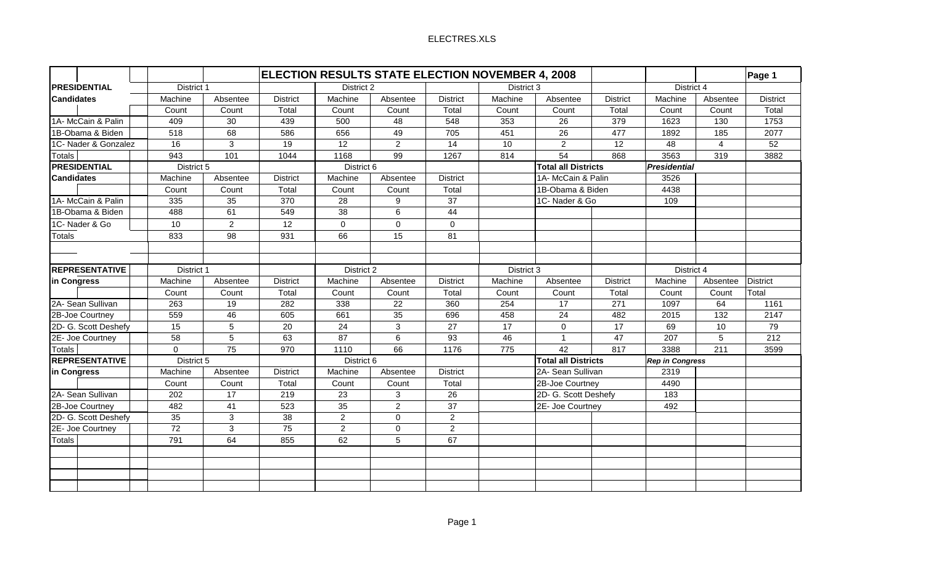## ELECTRES.XLS

|                       |                 | ELECTION RESULTS STATE ELECTION NOVEMBER 4, 2008 |                 |                |                |                            |            |                            |                 |                        |                | Page 1          |
|-----------------------|-----------------|--------------------------------------------------|-----------------|----------------|----------------|----------------------------|------------|----------------------------|-----------------|------------------------|----------------|-----------------|
| <b>PRESIDENTIAL</b>   | District 1      |                                                  |                 | District 2     |                |                            | District 3 |                            | District 4      |                        |                |                 |
| <b>Candidates</b>     | Machine         | Absentee                                         | <b>District</b> | Machine        | Absentee       | <b>District</b>            | Machine    | Absentee                   | <b>District</b> | Machine                | Absentee       | <b>District</b> |
|                       | Count           | Count                                            | Total           | Count          | Count          | Total                      | Count      | Count                      | Total           | Count                  | Count          | Total           |
| 1A-McCain & Palin     | 409             | 30                                               | 439             | 500            | 48             | 548                        | 353        | 26                         | 379             | 1623                   | 130            | 1753            |
| 1B-Obama & Biden      | 518             | 68                                               | 586             | 656            | 49             | 705                        | 451        | 26                         | 477             | 1892                   | 185            | 2077            |
| 1C- Nader & Gonzalez  | 16              | 3                                                | 19              | 12             | $\overline{2}$ | 14                         | 10         | $\overline{2}$             | 12              | 48                     | $\overline{4}$ | 52              |
| <b>Totals</b>         | 943             | 101                                              | 1044            | 1168           | 99             | 1267                       | 814        | 54                         | 868             | 3563                   | 319            | 3882            |
| <b>PRESIDENTIAL</b>   | District 5      |                                                  | District 6      |                |                | <b>Total all Districts</b> |            | <b>Presidential</b>        |                 |                        |                |                 |
| <b>Candidates</b>     | Machine         | Absentee                                         | <b>District</b> | Machine        | Absentee       | <b>District</b>            |            | 1A- McCain & Palin         |                 | 3526                   |                |                 |
|                       | Count           | Count                                            | Total           | Count          | Count          | Total                      |            | 1B-Obama & Biden           |                 | 4438                   |                |                 |
| 1A-McCain & Palin     | 335             | 35                                               | 370             | 28             | 9              | 37                         |            | 1C-Nader & Go              |                 | 109                    |                |                 |
| 1B-Obama & Biden      | 488             | 61                                               | 549             | 38             | 6              | 44                         |            |                            |                 |                        |                |                 |
| 1C-Nader & Go         | 10              | $\overline{2}$                                   | 12              | $\mathbf 0$    | $\mathbf{0}$   | 0                          |            |                            |                 |                        |                |                 |
| <b>Totals</b>         | 833             | 98                                               | 931             | 66             | 15             | 81                         |            |                            |                 |                        |                |                 |
|                       |                 |                                                  |                 |                |                |                            |            |                            |                 |                        |                |                 |
|                       |                 |                                                  |                 |                |                |                            |            |                            |                 |                        |                |                 |
| <b>REPRESENTATIVE</b> |                 | District 1                                       |                 |                | District 2     |                            |            | District 3                 |                 | District 4             |                |                 |
| in Congress           | Machine         | Absentee                                         | <b>District</b> | Machine        | Absentee       | <b>District</b>            | Machine    | Absentee                   | <b>District</b> | Machine                | Absentee       | District        |
|                       | Count           | Count                                            | Total           | Count          | Count          | Total                      | Count      | Count                      | Total           | Count                  | Count          | Total           |
| 2A- Sean Sullivan     | 263             | 19                                               | 282             | 338            | 22             | 360                        | 254        | 17                         | 271             | 1097                   | 64             | 1161            |
| 2B-Joe Courtney       | 559             | 46                                               | 605             | 661            | 35             | 696                        | 458        | 24                         | 482             | 2015                   | 132            | 2147            |
| 2D- G. Scott Deshefy  | 15              | 5                                                | 20              | 24             | 3              | 27                         | 17         | $\mathbf 0$                | 17              | 69                     | 10             | 79              |
| 2E- Joe Courtney      | 58              | 5                                                | 63              | 87             | 6              | 93                         | 46         | $\mathbf{1}$               | 47              | 207                    | 5              | 212             |
| <b>Totals</b>         | $\Omega$        | 75                                               | 970             | 1110           | 66             | 1176                       | 775        | 42                         | 817             | 3388                   | 211            | 3599            |
| <b>REPRESENTATIVE</b> |                 | District 5                                       |                 | District 6     |                |                            |            | <b>Total all Districts</b> |                 | <b>Rep in Congress</b> |                |                 |
| in Congress           | Machine         | Absentee                                         | <b>District</b> | Machine        | Absentee       | <b>District</b>            |            | 2A- Sean Sullivan          |                 | 2319                   |                |                 |
|                       | Count           | Count                                            | Total           | Count          | Count          | Total                      |            | 2B-Joe Courtney            |                 | 4490                   |                |                 |
| 2A- Sean Sullivan     | 202             | 17                                               | 219             | 23             | 3              | 26                         |            | 2D- G. Scott Deshefy       |                 | 183                    |                |                 |
| 2B-Joe Courtney       | 482             | 41                                               | 523             | 35             | $\overline{2}$ | 37                         |            | 2E- Joe Courtney           |                 | 492                    |                |                 |
| 2D- G. Scott Deshefy  | 35              | 3                                                | 38              | $\overline{2}$ | $\mathbf 0$    | $\overline{a}$             |            |                            |                 |                        |                |                 |
| 2E- Joe Courtney      | $\overline{72}$ | $\mathbf{3}$                                     | $\overline{75}$ | $\overline{2}$ | $\mathbf 0$    | $\overline{a}$             |            |                            |                 |                        |                |                 |
| <b>Totals</b>         | 791             | 64                                               | 855             | 62             | 5              | 67                         |            |                            |                 |                        |                |                 |
|                       |                 |                                                  |                 |                |                |                            |            |                            |                 |                        |                |                 |
|                       |                 |                                                  |                 |                |                |                            |            |                            |                 |                        |                |                 |
|                       |                 |                                                  |                 |                |                |                            |            |                            |                 |                        |                |                 |
|                       |                 |                                                  |                 |                |                |                            |            |                            |                 |                        |                |                 |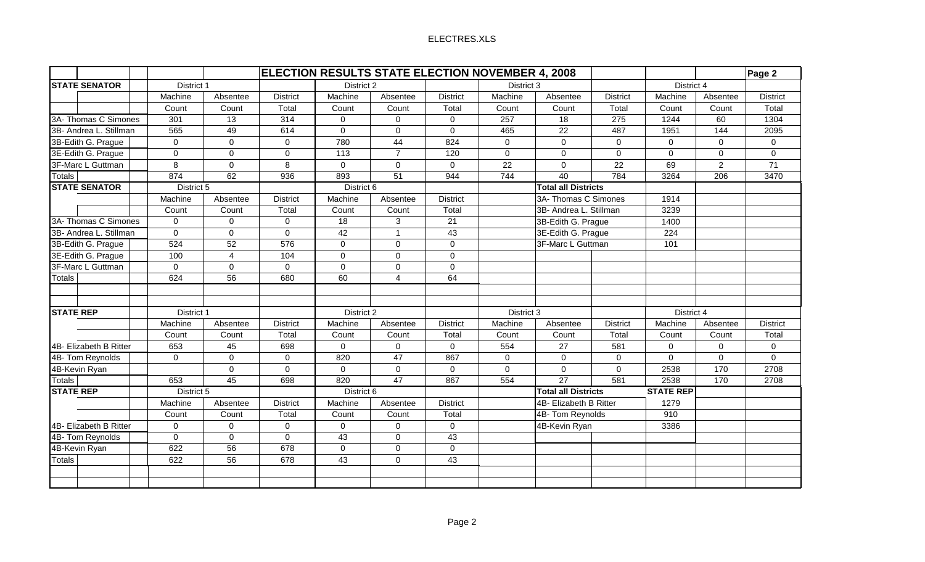## ELECTRES.XLS

|                        |             |                     |                 | <b>ELECTION RESULTS STATE ELECTION NOVEMBER 4, 2008</b> |                |                 |             |                            |                 |                  |                | Page 2          |
|------------------------|-------------|---------------------|-----------------|---------------------------------------------------------|----------------|-----------------|-------------|----------------------------|-----------------|------------------|----------------|-----------------|
| <b>STATE SENATOR</b>   | District 1  |                     |                 | District 2                                              |                |                 | District 3  |                            |                 | District 4       |                |                 |
|                        | Machine     | Absentee            | <b>District</b> | Machine                                                 | Absentee       | <b>District</b> | Machine     | Absentee                   | <b>District</b> | Machine          | Absentee       | <b>District</b> |
|                        | Count       | Count               | Total           | Count                                                   | Count          | Total           | Count       | Count                      | Total           | Count            | Count          | Total           |
| 3A- Thomas C Simones   | 301         | 13                  | 314             | $\Omega$                                                | $\mathbf{0}$   | 0               | 257         | 18                         | 275             | 1244             | 60             | 1304            |
| 3B- Andrea L. Stillman | 565         | 49                  | 614             | $\Omega$                                                | $\mathbf{0}$   | $\Omega$        | 465         | 22                         | 487             | 1951             | 144            | 2095            |
| 3B-Edith G. Prague     | $\mathbf 0$ | $\mathbf 0$         | $\Omega$        | 780                                                     | 44             | 824             | $\Omega$    | $\mathbf 0$                | $\Omega$        | $\Omega$         | $\Omega$       | 0               |
| 3E-Edith G. Prague     | $\mathbf 0$ | $\mathbf 0$         | $\mathbf 0$     | 113                                                     | $\overline{7}$ | 120             | $\mathbf 0$ | $\Omega$                   | $\Omega$        | $\Omega$         | $\Omega$       | $\mathbf 0$     |
| 3F-Marc L Guttman      | 8           | $\mathbf 0$         | 8               | $\mathbf 0$                                             | $\mathbf{0}$   | 0               | 22          | $\mathbf 0$                | 22              | 69               | $\overline{2}$ | 71              |
| <b>Totals</b>          | 874         | 62                  | 936             | 893                                                     | 51             | 944             | 744         | 40                         | 784             | 3264             | 206            | 3470            |
| <b>STATE SENATOR</b>   | District 5  |                     |                 | District 6                                              |                |                 |             | <b>Total all Districts</b> |                 |                  |                |                 |
|                        | Machine     | Absentee            | <b>District</b> | Machine                                                 | Absentee       | <b>District</b> |             | 3A- Thomas C Simones       |                 | 1914             |                |                 |
|                        | Count       | Count               | Total           | Count                                                   | Count          | Total           |             | 3B- Andrea L. Stillman     |                 | 3239             |                |                 |
| 3A- Thomas C Simones   | $\mathbf 0$ | $\mathbf 0$         | $\Omega$        | 18                                                      | 3              | 21              |             | 3B-Edith G. Prague         |                 | 1400             |                |                 |
| 3B- Andrea L. Stillman | $\Omega$    | $\mathbf 0$         | $\Omega$        | 42                                                      | $\overline{1}$ | 43              |             | 3E-Edith G. Prague         |                 | 224              |                |                 |
| 3B-Edith G. Prague     | 524         | 52                  | 576             | $\Omega$                                                | $\mathbf{0}$   | 0               |             | 3F-Marc L Guttman          |                 | 101              |                |                 |
| 3E-Edith G. Prague     | 100         | $\overline{4}$      | 104             | $\Omega$                                                | $\mathbf{0}$   | 0               |             |                            |                 |                  |                |                 |
| 3F-Marc L Guttman      | $\Omega$    | $\mathbf 0$         | $\Omega$        | $\mathbf 0$                                             | $\mathbf 0$    | 0               |             |                            |                 |                  |                |                 |
| <b>Totals</b>          | 624         | 56                  | 680             | 60                                                      | $\overline{A}$ | 64              |             |                            |                 |                  |                |                 |
|                        |             |                     |                 |                                                         |                |                 |             |                            |                 |                  |                |                 |
|                        |             |                     |                 |                                                         |                |                 |             |                            |                 |                  |                |                 |
| <b>STATE REP</b>       | District 1  |                     | District 2      |                                                         | District 3     |                 |             | District 4                 |                 |                  |                |                 |
|                        | Machine     | Absentee            | <b>District</b> | Machine                                                 | Absentee       | <b>District</b> | Machine     | Absentee                   | <b>District</b> | Machine          | Absentee       | <b>District</b> |
|                        | Count       | Count               | Total           | Count                                                   | Count          | Total           | Count       | Count                      | Total           | Count            | Count          | Total           |
| 4B- Elizabeth B Ritter | 653         | 45                  | 698             | $\mathbf 0$                                             | $\mathbf{0}$   | $\mathbf 0$     | 554         | 27                         | 581             | $\Omega$         | $\Omega$       | $\mathbf 0$     |
| 4B- Tom Reynolds       | $\mathbf 0$ | $\mathbf 0$         | $\mathbf 0$     | 820                                                     | 47             | 867             | $\Omega$    | $\mathbf 0$                | $\Omega$        | $\Omega$         | $\Omega$       | $\Omega$        |
| 4B-Kevin Ryan          |             | $\Omega$            | $\Omega$        | $\mathbf 0$                                             | $\mathbf{0}$   | $\Omega$        | $\Omega$    | $\Omega$                   | $\Omega$        | 2538             | 170            | 2708            |
| <b>Totals</b>          | 653         | 45                  | 698             | 820                                                     | 47             | 867             | 554         | $\overline{27}$            | 581             | 2538             | 170            | 2708            |
| <b>STATE REP</b>       | District 5  |                     |                 | District 6                                              |                |                 |             | <b>Total all Districts</b> |                 | <b>STATE REP</b> |                |                 |
|                        | Machine     | Absentee            | <b>District</b> | Machine                                                 | Absentee       | <b>District</b> |             | 4B- Elizabeth B Ritter     |                 | 1279             |                |                 |
|                        | Count       | Count               | Total           | Count                                                   | Count          | Total           |             | 4B- Tom Reynolds           |                 | 910              |                |                 |
| 4B- Elizabeth B Ritter | 0           | $\mathsf{O}\xspace$ | $\mathbf 0$     | $\pmb{0}$                                               | $\mathbf 0$    | 0               |             | 4B-Kevin Ryan              |                 | 3386             |                |                 |
| 4B- Tom Reynolds       | $\mathbf 0$ | $\mathsf{O}\xspace$ | $\mathbf 0$     | 43                                                      | $\mathbf 0$    | 43              |             |                            |                 |                  |                |                 |
| 4B-Kevin Ryan          | 622         | 56                  | 678             | $\mathsf{O}\xspace$                                     | $\pmb{0}$      | $\mathsf 0$     |             |                            |                 |                  |                |                 |
| <b>Totals</b>          | 622         | 56                  | 678             | 43                                                      | $\mathbf 0$    | 43              |             |                            |                 |                  |                |                 |
|                        |             |                     |                 |                                                         |                |                 |             |                            |                 |                  |                |                 |
|                        |             |                     |                 |                                                         |                |                 |             |                            |                 |                  |                |                 |